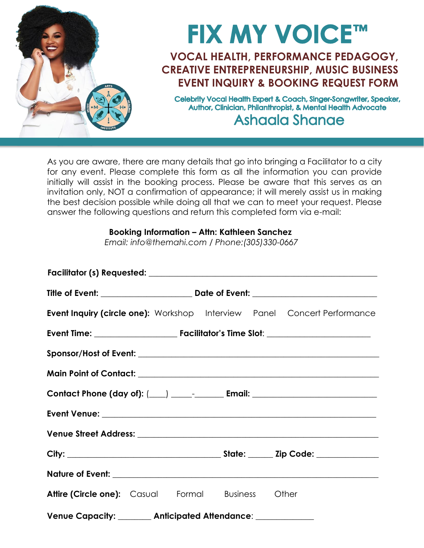

As you are aware, there are many details that go into bringing a Facilitator to a city for any event. Please complete this form as all the information you can provide initially will assist in the booking process. Please be aware that this serves as an invitation only, NOT a confirmation of appearance; it will merely assist us in making the best decision possible while doing all that we can to meet your request. Please answer the following questions and return this completed form via e-mail:

## **Booking Information – Attn: Kathleen Sanchez**

*Email: info@themahi.com / Phone:(305)330-0667*

|                                                             |  |  |  |  | <b>Event Inquiry (circle one):</b> Workshop Interview Panel Concert Performance |  |
|-------------------------------------------------------------|--|--|--|--|---------------------------------------------------------------------------------|--|
|                                                             |  |  |  |  |                                                                                 |  |
|                                                             |  |  |  |  |                                                                                 |  |
|                                                             |  |  |  |  |                                                                                 |  |
|                                                             |  |  |  |  |                                                                                 |  |
|                                                             |  |  |  |  |                                                                                 |  |
|                                                             |  |  |  |  |                                                                                 |  |
|                                                             |  |  |  |  |                                                                                 |  |
|                                                             |  |  |  |  |                                                                                 |  |
| <b>Attire (Circle one):</b> Casual Formal Business Other    |  |  |  |  |                                                                                 |  |
| Venue Capacity: _______ Anticipated Attendance: ___________ |  |  |  |  |                                                                                 |  |